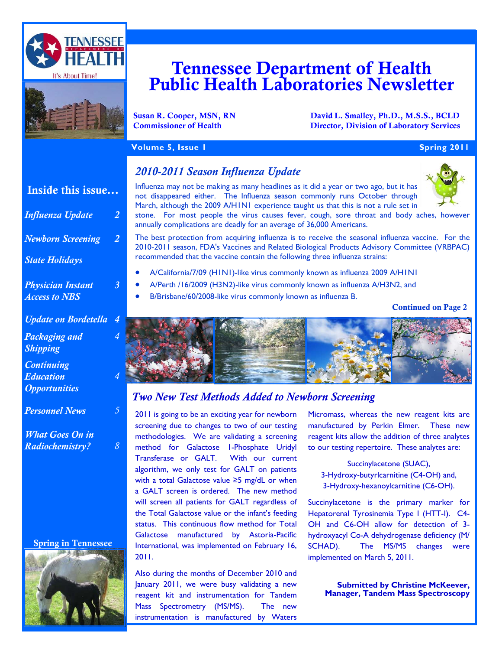



# Tennessee Department of Health Public Health Laboratories Newsletter

Susan R. Cooper, MSN, RN David L. Smalley, Ph.D., M.S.S., BCLD<br>
Commissioner of Health Director. Division of Laboratory Services **Director, Division of Laboratory Services** 

## **Volume 5, Issue 1 Spring 2011 Spring 2011**

# Inside this issue...

| <b>Influenza Update</b>                                | 2 |
|--------------------------------------------------------|---|
| <b>Newborn Screening</b>                               | 2 |
| <b>State Holidays</b>                                  |   |
| <b>Physician Instant</b><br><b>Access to NBS</b>       | 3 |
| <b>Update on Bordetella</b>                            | 4 |
| Packaging and<br><b>Shipping</b>                       | 4 |
| <b>Continuing</b><br>Education<br><b>Opportunities</b> | 4 |
| <b>Personnel News</b>                                  | 5 |
| <b>What Goes On in</b>                                 |   |

*Radiochemistry? 8* 

#### Spring in Tennessee



## *2010-2011 Season Influenza Update*

Influenza may not be making as many headlines as it did a year or two ago, but it has not disappeared either. The Influenza season commonly runs October through March, although the 2009 A/H1N1 experience taught us that this is not a rule set in



stone. For most people the virus causes fever, cough, sore throat and body aches, however annually complications are deadly for an average of 36,000 Americans.

The best protection from acquiring influenza is to receive the seasonal influenza vaccine. For the 2010-2011 season, FDA's Vaccines and Related Biological Products Advisory Committee (VRBPAC) recommended that the vaccine contain the following three influenza strains:

- A/California/7/09 (H1N1)-like virus commonly known as influenza 2009 A/H1N1
- A/Perth /16/2009 (H3N2)-like virus commonly known as influenza A/H3N2, and
- B/Brisbane/60/2008-like virus commonly known as influenza B.

Continued on Page 2



# *Two New Test Methods Added to Newborn Screening*

2011 is going to be an exciting year for newborn screening due to changes to two of our testing methodologies. We are validating a screening method for Galactose 1-Phosphate Uridyl Transferase or GALT. With our current algorithm, we only test for GALT on patients with a total Galactose value ≥5 mg/dL or when a GALT screen is ordered. The new method will screen all patients for GALT regardless of the Total Galactose value or the infant's feeding status. This continuous flow method for Total Galactose manufactured by Astoria-Pacific International, was implemented on February 16, 2011.

Also during the months of December 2010 and January 2011, we were busy validating a new reagent kit and instrumentation for Tandem Mass Spectrometry (MS/MS). The new instrumentation is manufactured by Waters Micromass, whereas the new reagent kits are manufactured by Perkin Elmer. These new reagent kits allow the addition of three analytes to our testing repertoire. These analytes are:

Succinylacetone (SUAC), 3-Hydroxy-butyrlcarnitine (C4-OH) and, 3-Hydroxy-hexanoylcarnitine (C6-OH).

Succinylacetone is the primary marker for Hepatorenal Tyrosinemia Type I (HTT-I). C4- OH and C6-OH allow for detection of 3 hydroxyacyl Co-A dehydrogenase deficiency (M/ SCHAD). The MS/MS changes were implemented on March 5, 2011.

> **Submitted by Christine McKeever, Manager, Tandem Mass Spectroscopy**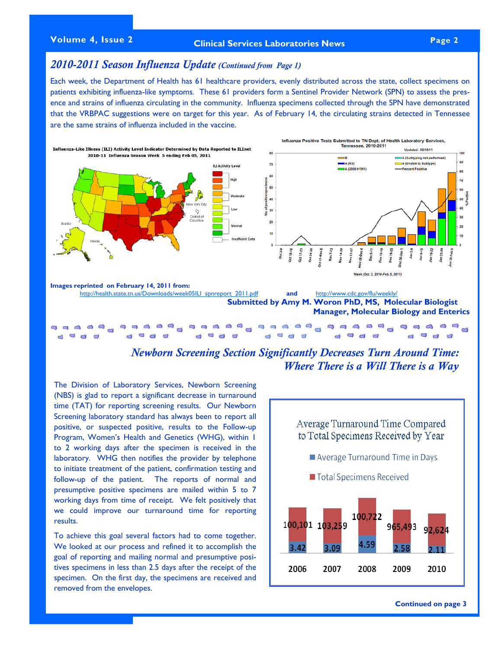# **Volume 4, Issue 2 Page 2 Clinical Services Laboratories News**

## *2010-2011 Season Influenza Update (Continued from Page 1)*

Each week, the Department of Health has 61 healthcare providers, evenly distributed across the state, collect specimens on patients exhibiting influenza-like symptoms. These 61 providers form a Sentinel Provider Network (SPN) to assess the presence and strains of influenza circulating in the community. Influenza specimens collected through the SPN have demonstrated that the VRBPAC suggestions were on target for this year. As of February 14, the circulating strains detected in Tennessee are the same strains of influenza included in the vaccine.



# *Newborn Screening Section Significantly Decreases Turn Around Time: Where There is a Will There is a Way*

The Division of Laboratory Services, Newborn Screening (NBS) is glad to report a significant decrease in turnaround time (TAT) for reporting screening results. Our Newborn Screening laboratory standard has always been to report all positive, or suspected positive, results to the Follow-up Program, Women's Health and Genetics (WHG), within 1 to 2 working days after the specimen is received in the laboratory. WHG then notifies the provider by telephone to initiate treatment of the patient, confirmation testing and follow-up of the patient. The reports of normal and presumptive positive specimens are mailed within 5 to 7 working days from time of receipt. We felt positively that we could improve our turnaround time for reporting results.

To achieve this goal several factors had to come together. We looked at our process and refined it to accomplish the goal of reporting and mailing normal and presumptive positives specimens in less than 2.5 days after the receipt of the specimen. On the first day, the specimens are received and removed from the envelopes.



**Continued on page 3**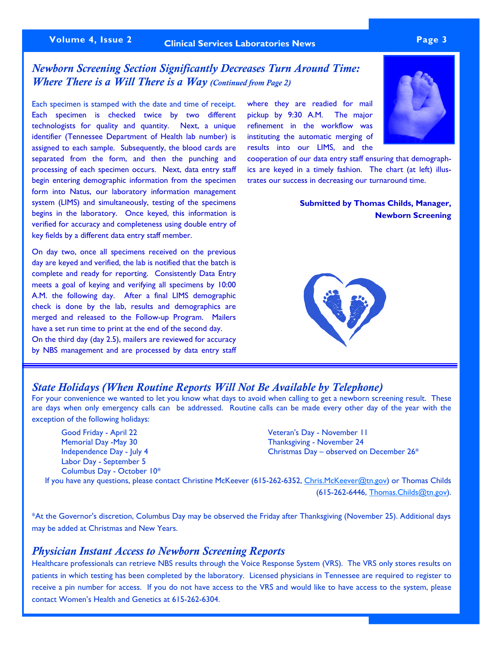# **Volume 4, Issue 2 Page 3 Clinical Services Laboratories News**

# *Newborn Screening Section Significantly Decreases Turn Around Time: Where There is a Will There is a Way (Continued from Page 2)*

Each specimen is stamped with the date and time of receipt. Each specimen is checked twice by two different technologists for quality and quantity. Next, a unique identifier (Tennessee Department of Health lab number) is assigned to each sample. Subsequently, the blood cards are separated from the form, and then the punching and processing of each specimen occurs. Next, data entry staff begin entering demographic information from the specimen form into Natus, our laboratory information management system (LIMS) and simultaneously, testing of the specimens begins in the laboratory. Once keyed, this information is verified for accuracy and completeness using double entry of key fields by a different data entry staff member.

On day two, once all specimens received on the previous day are keyed and verified, the lab is notified that the batch is complete and ready for reporting. Consistently Data Entry meets a goal of keying and verifying all specimens by 10:00 A.M. the following day. After a final LIMS demographic check is done by the lab, results and demographics are merged and released to the Follow-up Program. Mailers have a set run time to print at the end of the second day. On the third day (day 2.5), mailers are reviewed for accuracy by NBS management and are processed by data entry staff

where they are readied for mail pickup by 9:30 A.M. The major refinement in the workflow was instituting the automatic merging of results into our LIMS, and the

cooperation of our data entry staff ensuring that demographics are keyed in a timely fashion. The chart (at left) illustrates our success in decreasing our turnaround time.

> **Submitted by Thomas Childs, Manager, Newborn Screening**



#### *State Holidays (When Routine Reports Will Not Be Available by Telephone)*

For your convenience we wanted to let you know what days to avoid when calling to get a newborn screening result. These are days when only emergency calls can be addressed. Routine calls can be made every other day of the year with the exception of the following holidays:

 Good Friday - April 22 Veteran's Day - November 11 Memorial Day -May 30 Thanksgiving - November 24 Labor Day - September 5 Columbus Day - October 10\*

Independence Day - July 4 Christmas Day – observed on December 26\*

If you have any questions, please contact Christine McKeever (615-262-6352, [Chris.McKeever@tn.gov](mailto:Chris.McKeever@tn.gov)) or Thomas Childs (615-262-6446, [Thomas.Childs@tn.gov](mailto:Thomas.Childs@tn.gov)).

\*At the Governor's discretion, Columbus Day may be observed the Friday after Thanksgiving (November 25). Additional days may be added at Christmas and New Years.

#### *Physician Instant Access to Newborn Screening Reports*

Healthcare professionals can retrieve NBS results through the Voice Response System (VRS). The VRS only stores results on patients in which testing has been completed by the laboratory. Licensed physicians in Tennessee are required to register to receive a pin number for access. If you do not have access to the VRS and would like to have access to the system, please contact Women's Health and Genetics at 615-262-6304.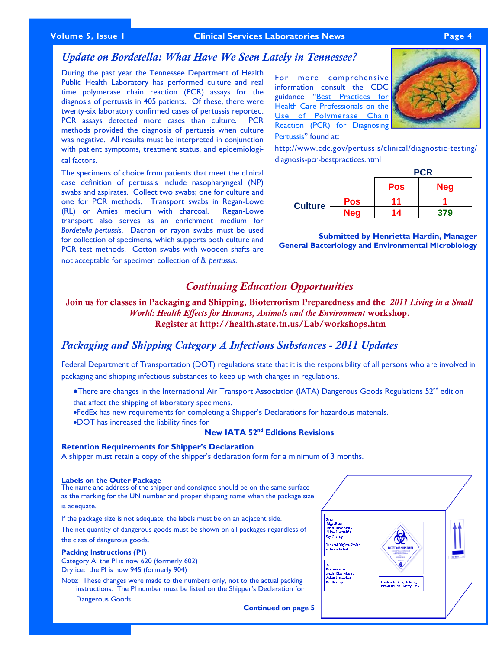#### **Volume 5, Issue 1 Page 4 Clinical Services Laboratories News**

#### *Update on Bordetella: What Have We Seen Lately in Tennessee?*

During the past year the Tennessee Department of Health Public Health Laboratory has performed culture and real time polymerase chain reaction (PCR) assays for the diagnosis of pertussis in 405 patients. Of these, there were twenty-six laboratory confirmed cases of pertussis reported. PCR assays detected more cases than culture. PCR methods provided the diagnosis of pertussis when culture was negative. All results must be interpreted in conjunction with patient symptoms, treatment status, and epidemiological factors.

The specimens of choice from patients that meet the clinical case definition of pertussis include nasopharyngeal (NP) swabs and aspirates. Collect two swabs; one for culture and one for PCR methods. Transport swabs in Regan-Lowe (RL) or Amies medium with charcoal. Regan-Lowe transport also serves as an enrichment medium for *Bordetella pertussis*. Dacron or rayon swabs must be used for collection of specimens, which supports both culture and PCR test methods. Cotton swabs with wooden shafts are not acceptable for specimen collection of *B. pertussis*.

For more comprehensive information consult the CDC guidance "Best Practices for [Health Care Professionals on the](http://health.state.tn.us/lab/Best_Practices_Use_Polymerase_Chain_Reaction.pdf)  [Use of Polymerase Chain](http://health.state.tn.us/lab/Best_Practices_Use_Polymerase_Chain_Reaction.pdf)  [Reaction \(PCR\) for Diagnosing](http://health.state.tn.us/lab/Best_Practices_Use_Polymerase_Chain_Reaction.pdf)  [Pertussis](http://health.state.tn.us/lab/Best_Practices_Use_Polymerase_Chain_Reaction.pdf)" found at:



http://www.cdc.gov/pertussis/clinical/diagnostic-testing/ diagnosis-pcr-bestpractices.html

|                |            | <b>PCR</b> |            |  |
|----------------|------------|------------|------------|--|
|                |            | <b>Pos</b> | <b>Neg</b> |  |
| <b>Culture</b> | <b>Pos</b> | 11         |            |  |
|                | <b>Neg</b> | 14         | 379        |  |

**Submitted by Henrietta Hardin, Manager General Bacteriology and Environmental Microbiology** 

# *Continuing Education Opportunities*

Join us for classes in Packaging and Shipping, Bioterrorism Preparedness and the *2011 Living in a Small World: Health Effects for Humans, Animals and the Environment* workshop. Register at http://health.state.tn.us/Lab/workshops.htm

## *Packaging and Shipping Category A Infectious Substances - 2011 Updates*

Federal Department of Transportation (DOT) regulations state that it is the responsibility of all persons who are involved in packaging and shipping infectious substances to keep up with changes in regulations.

- **•There are changes in the International Air Transport Association (IATA) Dangerous Goods Regulations 52<sup>nd</sup> edition** that affect the shipping of laboratory specimens.
- •FedEx has new requirements for completing a Shipper's Declarations for hazardous materials.
- •DOT has increased the liability fines for

#### **New IATA 52nd Editions Revisions**

#### **Retention Requirements for Shipper's Declaration**

A shipper must retain a copy of the shipper's declaration form for a minimum of 3 months.

#### **Labels on the Outer Package**

The name and address of the shipper and consignee should be on the same surface as the marking for the UN number and proper shipping name when the package size is adequate.

If the package size is not adequate, the labels must be on an adjacent side.

The net quantity of dangerous goods must be shown on all packages regardless of the class of dangerous goods.

**Packing Instructions (PI)**

Category A: the PI is now 620 (formerly 602) Dry ice: the PI is now 945 (formerly 904)

Note: These changes were made to the numbers only, not to the actual packing instructions. The PI number must be listed on the Shipper's Declaration for Dangerous Goods.

**Continued on page 5** 

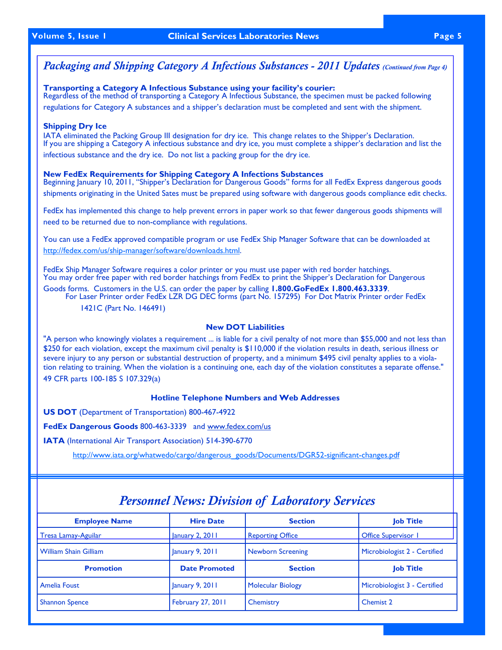# *Packaging and Shipping Category A Infectious Substances - 2011 Updates (Continued from Page 4)*

#### **Transporting a Category A Infectious Substance using your facility's courier:**

Regardless of the method of transporting a Category A Infectious Substance, the specimen must be packed following regulations for Category A substances and a shipper's declaration must be completed and sent with the shipment.

#### **Shipping Dry Ice**

IATA eliminated the Packing Group III designation for dry ice. This change relates to the Shipper's Declaration. If you are shipping a Category A infectious substance and dry ice, you must complete a shipper's declaration and list the infectious substance and the dry ice. Do not list a packing group for the dry ice.

## **New FedEx Requirements for Shipping Category A Infections Substances**

Beginning January 10, 2011, "Shipper's Declaration for Dangerous Goods" forms for all FedEx Express dangerous goods shipments originating in the United Sates must be prepared using software with dangerous goods compliance edit checks.

FedEx has implemented this change to help prevent errors in paper work so that fewer dangerous goods shipments will need to be returned due to non-compliance with regulations.

You can use a FedEx approved compatible program or use FedEx Ship Manager Software that can be downloaded at <http://fedex.com/us/ship-manager/software/downloads.html>.

FedEx Ship Manager Software requires a color printer or you must use paper with red border hatchings. You may order free paper with red border hatchings from FedEx to print the Shipper's Declaration for Dangerous

Goods forms. Customers in the U.S. can order the paper by calling **1.800.GoFedEx 1.800.463.3339**. For Laser Printer order FedEx LZR DG DEC forms (part No. 157295) For Dot Matrix Printer order FedEx 1421C (Part No. 146491)

#### **New DOT Liabilities**

"A person who knowingly violates a requirement ... is liable for a civil penalty of not more than \$55,000 and not less than \$250 for each violation, except the maximum civil penalty is \$110,000 if the violation results in death, serious illness or severe injury to any person or substantial destruction of property, and a minimum \$495 civil penalty applies to a violation relating to training. When the violation is a continuing one, each day of the violation constitutes a separate offense." 49 CFR parts 100-185 S 107.329(a)

#### **Hotline Telephone Numbers and Web Addresses**

**US DOT** (Department of Transportation) 800-467-4922

**FedEx Dangerous Goods** 800-463-3339 and www.fedex.com/us

**IATA** (International Air Transport Association) 514-390-6770

[http://www.iata.org/whatwedo/cargo/dangerous\\_goods/Documents/DGR52-significant-changes.pdf](http://www.iata.org/whatwedo/cargo/dangerous_goods/Documents/DGR52-significant-changes.pdf)

| <b>Employee Name</b>         | <b>Hire Date</b>     | <b>Section</b>           | <b>Job Title</b>             |  |
|------------------------------|----------------------|--------------------------|------------------------------|--|
| Tresa Lamay-Aguilar          | January 2, 2011      | <b>Reporting Office</b>  | <b>Office Supervisor 1</b>   |  |
| <b>William Shain Gilliam</b> | January 9, 2011      | <b>Newborn Screening</b> | Microbiologist 2 - Certified |  |
| <b>Promotion</b>             | <b>Date Promoted</b> | <b>Section</b>           | <b>Job Title</b>             |  |
| Amelia Foust                 | January 9, 2011      | <b>Molecular Biology</b> | Microbiologist 3 - Certified |  |
| <b>Shannon Spence</b>        | February 27, 2011    | Chemistry                | Chemist 2                    |  |

# *Personnel News: Division of Laboratory Services*